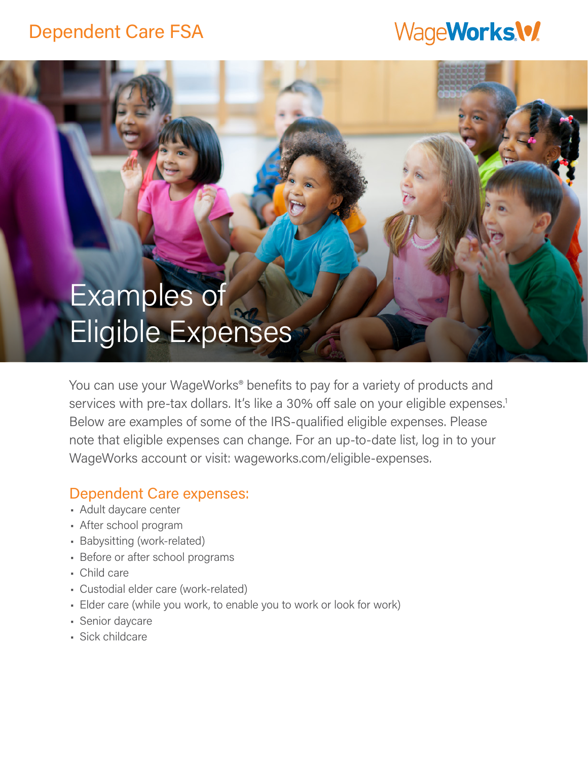## Dependent Care FSA

# WageWorks.\%

# Examples of Eligible Expenses

You can use your WageWorks<sup>®</sup> benefits to pay for a variety of products and services with pre-tax dollars. It's like a 30% off sale on your eligible expenses.<sup>1</sup> Below are examples of some of the IRS-qualified eligible expenses. Please note that eligible expenses can change. For an up-to-date list, log in to your WageWorks account or visit: wageworks.com/eligible-expenses.

#### Dependent Care expenses:

- Adult daycare center
- After school program
- Babysitting (work-related)
- Before or after school programs
- Child care
- Custodial elder care (work-related)
- Elder care (while you work, to enable you to work or look for work)
- Senior daycare
- Sick childcare